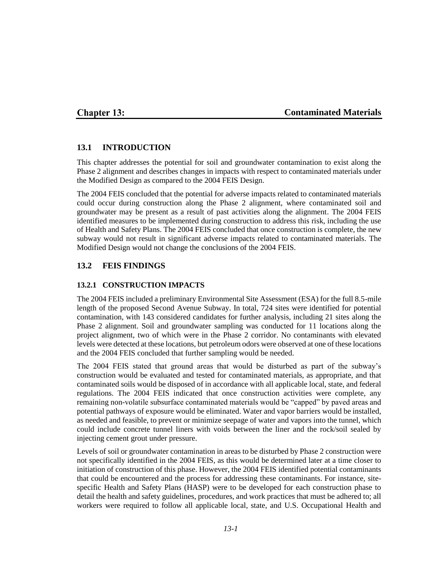### **Chapter 13:**

### **Contaminated Materials**

#### **13.1 INTRODUCTION**

This chapter addresses the potential for soil and groundwater contamination to exist along the Phase 2 alignment and describes changes in impacts with respect to contaminated materials under the Modified Design as compared to the 2004 FEIS Design.

The 2004 FEIS concluded that the potential for adverse impacts related to contaminated materials could occur during construction along the Phase 2 alignment, where contaminated soil and groundwater may be present as a result of past activities along the alignment. The 2004 FEIS identified measures to be implemented during construction to address this risk, including the use of Health and Safety Plans. The 2004 FEIS concluded that once construction is complete, the new subway would not result in significant adverse impacts related to contaminated materials. The Modified Design would not change the conclusions of the 2004 FEIS.

# **13.2 FEIS FINDINGS**

#### **13.2.1 CONSTRUCTION IMPACTS**

The 2004 FEIS included a preliminary Environmental Site Assessment (ESA) for the full 8.5-mile length of the proposed Second Avenue Subway. In total, 724 sites were identified for potential contamination, with 143 considered candidates for further analysis, including 21 sites along the Phase 2 alignment. Soil and groundwater sampling was conducted for 11 locations along the project alignment, two of which were in the Phase 2 corridor. No contaminants with elevated levels were detected at these locations, but petroleum odors were observed at one of these locations and the 2004 FEIS concluded that further sampling would be needed.

The 2004 FEIS stated that ground areas that would be disturbed as part of the subway's construction would be evaluated and tested for contaminated materials, as appropriate, and that contaminated soils would be disposed of in accordance with all applicable local, state, and federal regulations. The 2004 FEIS indicated that once construction activities were complete, any remaining non-volatile subsurface contaminated materials would be "capped" by paved areas and potential pathways of exposure would be eliminated. Water and vapor barriers would be installed, as needed and feasible, to prevent or minimize seepage of water and vapors into the tunnel, which could include concrete tunnel liners with voids between the liner and the rock/soil sealed by injecting cement grout under pressure.

Levels of soil or groundwater contamination in areas to be disturbed by Phase 2 construction were not specifically identified in the 2004 FEIS, as this would be determined later at a time closer to initiation of construction of this phase. However, the 2004 FEIS identified potential contaminants that could be encountered and the process for addressing these contaminants. For instance, sitespecific Health and Safety Plans (HASP) were to be developed for each construction phase to detail the health and safety guidelines, procedures, and work practices that must be adhered to; all workers were required to follow all applicable local, state, and U.S. Occupational Health and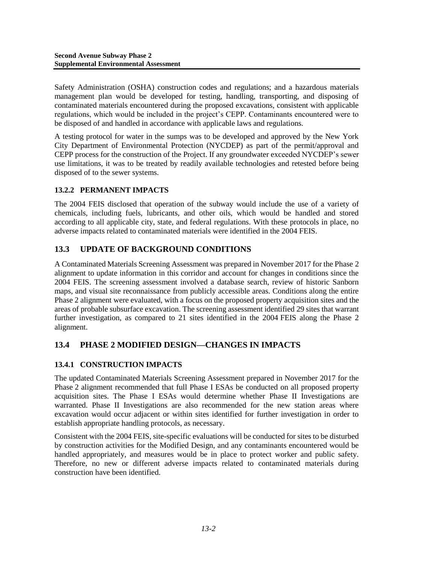Safety Administration (OSHA) construction codes and regulations; and a hazardous materials management plan would be developed for testing, handling, transporting, and disposing of contaminated materials encountered during the proposed excavations, consistent with applicable regulations, which would be included in the project's CEPP. Contaminants encountered were to be disposed of and handled in accordance with applicable laws and regulations.

A testing protocol for water in the sumps was to be developed and approved by the New York City Department of Environmental Protection (NYCDEP) as part of the permit/approval and CEPP process for the construction of the Project. If any groundwater exceeded NYCDEP's sewer use limitations, it was to be treated by readily available technologies and retested before being disposed of to the sewer systems.

### **13.2.2 PERMANENT IMPACTS**

The 2004 FEIS disclosed that operation of the subway would include the use of a variety of chemicals, including fuels, lubricants, and other oils, which would be handled and stored according to all applicable city, state, and federal regulations. With these protocols in place, no adverse impacts related to contaminated materials were identified in the 2004 FEIS.

# **13.3 UPDATE OF BACKGROUND CONDITIONS**

A Contaminated Materials Screening Assessment was prepared in November 2017 for the Phase 2 alignment to update information in this corridor and account for changes in conditions since the 2004 FEIS. The screening assessment involved a database search, review of historic Sanborn maps, and visual site reconnaissance from publicly accessible areas. Conditions along the entire Phase 2 alignment were evaluated, with a focus on the proposed property acquisition sites and the areas of probable subsurface excavation. The screening assessment identified 29 sites that warrant further investigation, as compared to 21 sites identified in the 2004 FEIS along the Phase 2 alignment.

# **13.4 PHASE 2 MODIFIED DESIGN—CHANGES IN IMPACTS**

# **13.4.1 CONSTRUCTION IMPACTS**

The updated Contaminated Materials Screening Assessment prepared in November 2017 for the Phase 2 alignment recommended that full Phase I ESAs be conducted on all proposed property acquisition sites. The Phase I ESAs would determine whether Phase II Investigations are warranted. Phase II Investigations are also recommended for the new station areas where excavation would occur adjacent or within sites identified for further investigation in order to establish appropriate handling protocols, as necessary.

Consistent with the 2004 FEIS, site-specific evaluations will be conducted for sites to be disturbed by construction activities for the Modified Design, and any contaminants encountered would be handled appropriately, and measures would be in place to protect worker and public safety. Therefore, no new or different adverse impacts related to contaminated materials during construction have been identified.